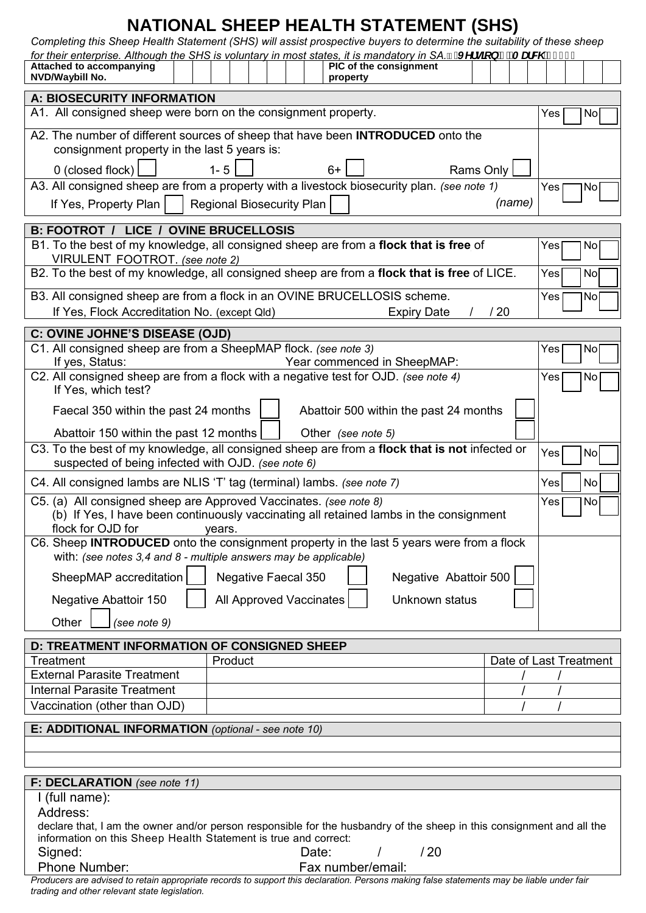## **NATIONAL SHEEP HEALTH STATEMENT (SHS)**

*Completing this Sheep Health Statement (SHS) will assist prospective buyers to determine the suitability of these sheep* 

| Completing this Sheep Health Statement (SHS) will assist prospective buyers to determine the suitability of these sheep                                    |                           |       |                        |                                        |           |        |     |                        |
|------------------------------------------------------------------------------------------------------------------------------------------------------------|---------------------------|-------|------------------------|----------------------------------------|-----------|--------|-----|------------------------|
| for their enterprise. Although the SHS is voluntary in most states, it is mandatory in SA. "fu Yfglcb'( $ZA$ UW '&\$% L<br><b>Attached to accompanying</b> |                           |       | PIC of the consignment |                                        |           |        |     |                        |
| NVD/Waybill No.                                                                                                                                            |                           |       | property               |                                        |           |        |     |                        |
|                                                                                                                                                            |                           |       |                        |                                        |           |        |     |                        |
| <b>A: BIOSECURITY INFORMATION</b>                                                                                                                          |                           |       |                        |                                        |           |        |     |                        |
| A1. All consigned sheep were born on the consignment property.                                                                                             |                           |       |                        |                                        |           |        | Yes | No                     |
| A2. The number of different sources of sheep that have been <b>INTRODUCED</b> onto the                                                                     |                           |       |                        |                                        |           |        |     |                        |
| consignment property in the last 5 years is:                                                                                                               |                           |       |                        |                                        |           |        |     |                        |
|                                                                                                                                                            |                           |       |                        |                                        |           |        |     |                        |
| 0 (closed flock)                                                                                                                                           | $1 - 5$                   |       | $6+$                   |                                        | Rams Only |        |     |                        |
| A3. All consigned sheep are from a property with a livestock biosecurity plan. (see note 1)                                                                |                           |       |                        |                                        |           |        | Yes | No                     |
| If Yes, Property Plan                                                                                                                                      | Regional Biosecurity Plan |       |                        |                                        |           | (name) |     |                        |
|                                                                                                                                                            |                           |       |                        |                                        |           |        |     |                        |
| <b>B: FOOTROT / LICE / OVINE BRUCELLOSIS</b>                                                                                                               |                           |       |                        |                                        |           |        |     |                        |
| B1. To the best of my knowledge, all consigned sheep are from a flock that is free of                                                                      |                           |       |                        |                                        |           | Yes    | No  |                        |
| VIRULENT FOOTROT. (see note 2)                                                                                                                             |                           |       |                        |                                        |           |        |     |                        |
| B2. To the best of my knowledge, all consigned sheep are from a flock that is free of LICE.                                                                |                           |       |                        |                                        |           | Yes    | No  |                        |
| B3. All consigned sheep are from a flock in an OVINE BRUCELLOSIS scheme.                                                                                   |                           |       |                        |                                        | Yes       | No     |     |                        |
| If Yes, Flock Accreditation No. (except Qld)                                                                                                               |                           |       |                        | <b>Expiry Date</b>                     | /20       |        |     |                        |
|                                                                                                                                                            |                           |       |                        |                                        |           |        |     |                        |
| <b>C: OVINE JOHNE'S DISEASE (OJD)</b>                                                                                                                      |                           |       |                        |                                        |           |        |     |                        |
| C1. All consigned sheep are from a SheepMAP flock. (see note 3)                                                                                            |                           |       |                        |                                        |           |        | Yes | No.                    |
| If yes, Status:                                                                                                                                            |                           |       |                        | Year commenced in SheepMAP:            |           |        |     |                        |
| C2. All consigned sheep are from a flock with a negative test for OJD. (see note 4)                                                                        |                           |       |                        |                                        |           |        | Yes | No                     |
| If Yes, which test?                                                                                                                                        |                           |       |                        |                                        |           |        |     |                        |
| Faecal 350 within the past 24 months                                                                                                                       |                           |       |                        | Abattoir 500 within the past 24 months |           |        |     |                        |
|                                                                                                                                                            |                           |       |                        |                                        |           |        |     |                        |
| Abattoir 150 within the past 12 months                                                                                                                     |                           |       | Other (see note 5)     |                                        |           |        |     |                        |
| C3. To the best of my knowledge, all consigned sheep are from a flock that is not infected or<br>Yes<br>No                                                 |                           |       |                        |                                        |           |        |     |                        |
| suspected of being infected with OJD. (see note 6)                                                                                                         |                           |       |                        |                                        |           |        |     |                        |
| C4. All consigned lambs are NLIS 'T' tag (terminal) lambs. (see note 7)<br>Yes<br>No                                                                       |                           |       |                        |                                        |           |        |     |                        |
| C5. (a) All consigned sheep are Approved Vaccinates. (see note 8)<br>Yes<br>No                                                                             |                           |       |                        |                                        |           |        |     |                        |
| (b) If Yes, I have been continuously vaccinating all retained lambs in the consignment                                                                     |                           |       |                        |                                        |           |        |     |                        |
| tlock for OJD for<br>years.                                                                                                                                |                           |       |                        |                                        |           |        |     |                        |
| C6. Sheep <b>INTRODUCED</b> onto the consignment property in the last 5 years were from a flock                                                            |                           |       |                        |                                        |           |        |     |                        |
| with: (see notes $3,4$ and $8$ - multiple answers may be applicable)                                                                                       |                           |       |                        |                                        |           |        |     |                        |
| SheepMAP accreditation<br>Negative Abattoir 500<br><b>Negative Faecal 350</b>                                                                              |                           |       |                        |                                        |           |        |     |                        |
|                                                                                                                                                            |                           |       |                        |                                        |           |        |     |                        |
| Negative Abattoir 150                                                                                                                                      | All Approved Vaccinates   |       |                        | Unknown status                         |           |        |     |                        |
| Other<br>(see note 9)                                                                                                                                      |                           |       |                        |                                        |           |        |     |                        |
|                                                                                                                                                            |                           |       |                        |                                        |           |        |     |                        |
| <b>D: TREATMENT INFORMATION OF CONSIGNED SHEEP</b>                                                                                                         |                           |       |                        |                                        |           |        |     |                        |
| Treatment                                                                                                                                                  | Product                   |       |                        |                                        |           |        |     | Date of Last Treatment |
| <b>External Parasite Treatment</b>                                                                                                                         |                           |       |                        |                                        |           |        |     |                        |
| <b>Internal Parasite Treatment</b>                                                                                                                         |                           |       |                        |                                        |           |        |     |                        |
| Vaccination (other than OJD)                                                                                                                               |                           |       |                        |                                        |           |        |     |                        |
|                                                                                                                                                            |                           |       |                        |                                        |           |        |     |                        |
| E: ADDITIONAL INFORMATION (optional - see note 10)                                                                                                         |                           |       |                        |                                        |           |        |     |                        |
|                                                                                                                                                            |                           |       |                        |                                        |           |        |     |                        |
|                                                                                                                                                            |                           |       |                        |                                        |           |        |     |                        |
| F: DECLARATION (see note 11)                                                                                                                               |                           |       |                        |                                        |           |        |     |                        |
| I (full name):                                                                                                                                             |                           |       |                        |                                        |           |        |     |                        |
| Address:                                                                                                                                                   |                           |       |                        |                                        |           |        |     |                        |
| declare that, I am the owner and/or person responsible for the husbandry of the sheep in this consignment and all the                                      |                           |       |                        |                                        |           |        |     |                        |
| information on this Sheep Health Statement is true and correct:                                                                                            |                           |       |                        |                                        |           |        |     |                        |
| <b>Sinnad</b>                                                                                                                                              |                           | ∩ote∙ |                        | 120                                    |           |        |     |                        |

| olyneu. |              |
|---------|--------------|
|         | Dhana Numhar |

Date: / / / 20 Phone Number: Fax number/email:

*Producers are advised to retain appropriate records to support this declaration. Persons making false statements may be liable under fair trading and other relevant state legislation.*